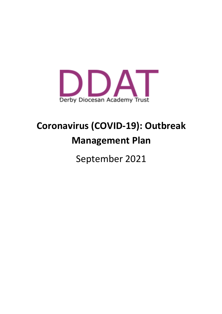

# **Coronavirus (COVID-19): Outbreak Management Plan**

September 2021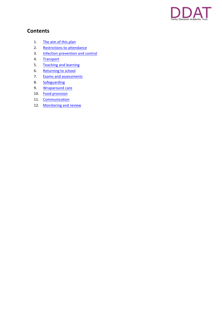

## **Contents**

- 1. The aim of this plan
- 2. Restrictions to attendance
- 3. Infection prevention and control
- 4. Transport
- 5. Teaching and learning
- 6. Returning to school
- 7. Exams and assessments
- 8. Safeguarding
- 9. Wraparound care
- 10. Food provision
- 11. Communication
- 12. Monitoring and review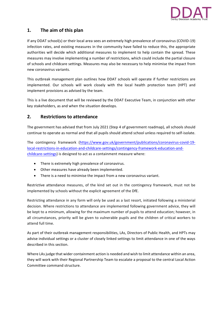

## **1.** The aim of this plan

If any DDAT school(s) or their local area sees an extremely high prevalence of coronavirus (COVID-19) infection rates, and existing measures in the community have failed to reduce this, the appropriate authorities will decide which additional measures to implement to help contain the spread. These measures may involve implementing a number of restrictions, which could include the partial closure of schools and childcare settings. Measures may also be necessary to help minimise the impact from new coronavirus variants.

This outbreak management plan outlines how DDAT schools will operate if further restrictions are implemented. Our schools will work closely with the local health protection team (HPT) and implement provisions as advised by the team.

This is a live document that will be reviewed by the DDAT Executive Team, in conjunction with other key stakeholders, as and when the situation develops.

### **2. Restrictions to attendance**

The government has advised that from July 2021 (Step 4 of government roadmap), all schools should continue to operate as normal and that all pupils should attend school unless required to self-isolate.

The contingency framework (https://www.gov.uk/government/publications/coronavirus-covid-19local-restrictions-in-education-and-childcare-settings/contingency-framework-education-andchildcare-settings) is designed to act as a containment measure where:

- There is extremely high prevalence of coronavirus.
- Other measures have already been implemented.
- There is a need to minimise the impact from a new coronavirus variant.

Restrictive attendance measures, of the kind set out in the contingency framework, must not be implemented by schools without the explicit agreement of the DfE.

Restricting attendance in any form will only be used as a last resort, initiated following a ministerial decision. Where restrictions to attendance are implemented following government advice, they will be kept to a minimum, allowing for the maximum number of pupils to attend education; however, in all circumstances, priority will be given to vulnerable pupils and the children of critical workers to attend full time.

As part of their outbreak management responsibilities, LAs, Directors of Public Health, and HPTs may advise individual settings or a cluster of closely linked settings to limit attendance in one of the ways described in this section.

Where LAs judge that wider containment action is needed and wish to limit attendance within an area, they will work with their Regional Partnership Team to escalate a proposal to the central Local Action Committee command structure.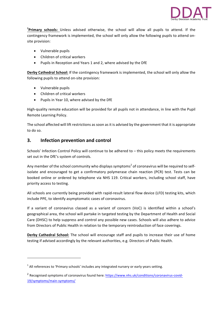

<sup>1</sup>Primary schools: Unless advised otherwise, the school will allow all pupils to attend. If the contingency framework is implemented, the school will only allow the following pupils to attend onsite provision:

- Vulnerable pupils
- Children of critical workers
- Pupils in Reception and Years 1 and 2, where advised by the DfE

**Derby Cathedral School:** If the contingency framework is implemented, the school will only allow the following pupils to attend on-site provision:

• Vulnerable pupils

- Children of critical workers
- Pupils in Year 10, where advised by the DfE

High-quality remote education will be provided for all pupils not in attendance, in line with the Pupil Remote Learning Policy.

The school affected will lift restrictions as soon as it is advised by the government that it is appropriate to do so.

#### **3. Infection prevention and control**

Schools' Infection Control Policy will continue to be adhered to  $-$  this policy meets the requirements set out in the DfE's system of controls.

Any member of the school community who displays symptoms<sup>2</sup> of coronavirus will be required to selfisolate and encouraged to get a confirmatory polymerase chain reaction (PCR) test. Tests can be booked online or ordered by telephone via NHS 119. Critical workers, including school staff, have priority access to testing.

All schools are currently being provided with rapid-result lateral flow device (LFD) testing kits, which include PPE, to identify asymptomatic cases of coronavirus.

If a variant of coronavirus classed as a variant of concern (VoC) is identified within a school's geographical area, the school will partake in targeted testing by the Department of Health and Social Care (DHSC) to help suppress and control any possible new cases. Schools will also adhere to advice from Directors of Public Health in relation to the temporary reintroduction of face coverings.

**Derby Cathedral School:** The school will encourage staff and pupils to increase their use of home testing if advised accordingly by the relevant authorities, e.g. Directors of Public Health.

 $1$  All references to 'Primary schools' includes any integrated nursery or early years setting.

 $2$  Recognised symptoms of coronavirus found here: https://www.nhs.uk/conditions/coronavirus-covid-19/symptoms/main-symptoms/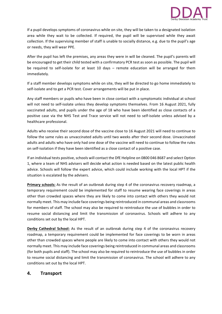

If a pupil develops symptoms of coronavirus while on site, they will be taken to a designated isolation area while they wait to be collected. If required, the pupil will be supervised while they await collection. If the supervising member of staff is unable to socially distance, e.g. due to the pupil's age or needs, they will wear PPE.

After the pupil has left the premises, any areas they were in will be cleaned. The pupil's parents will be encouraged to get their child tested with a confirmatory PCR test as soon as possible. The pupil will be required to self-isolate for at least 10 days – remote education will be arranged for them immediately. 

If a staff member develops symptoms while on site, they will be directed to go home immediately to self-isolate and to get a PCR test. Cover arrangements will be put in place.

Any staff members or pupils who have been in close contact with a symptomatic individual at school will not need to self-isolate unless they develop symptoms themselves. From 16 August 2021, fully vaccinated adults, and pupils under the age of 18 who have been identified as close contacts of a positive case via the NHS Test and Trace service will not need to self-isolate unless advised by a healthcare professional.

Adults who receive their second dose of the vaccine close to 16 August 2021 will need to continue to follow the same rules as unvaccinated adults until two weeks after their second dose. Unvaccinated adults and adults who have only had one dose of the vaccine will need to continue to follow the rules on self-isolation if they have been identified as a close contact of a positive case.

If an individual tests positive, schools will contact the DfE Helpline on 0800 046 8687 and select Option 1, where a team of NHS advisers will decide what action is needed based on the latest public health advice. Schools will follow the expert advice, which could include working with the local HPT if the situation is escalated by the advisers.

**Primary schools:** As the result of an outbreak during step 4 of the coronavirus recovery roadmap, a temporary requirement could be implemented for staff to resume wearing face coverings in areas other than crowded spaces where they are likely to come into contact with others they would not normally meet. This may include face coverings being reintroduced in communal areas and classrooms for members of staff. The school may also be required to reintroduce the use of bubbles in order to resume social distancing and limit the transmission of coronavirus. Schools will adhere to any conditions set out by the local HPT.

**Derby Cathedral School:** As the result of an outbreak during step 4 of the coronavirus recovery roadmap, a temporary requirement could be implemented for face coverings to be worn in areas other than crowded spaces where people are likely to come into contact with others they would not normally meet. This may include face coverings being reintroduced in communal areas and classrooms (for both pupils and staff). The school may also be required to reintroduce the use of bubbles in order to resume social distancing and limit the transmission of coronavirus. The school will adhere to any conditions set out by the local HPT.

#### **4. Transport**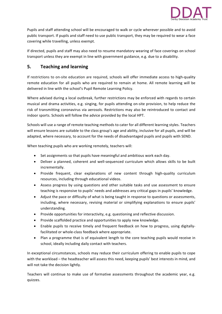

Pupils and staff attending school will be encouraged to walk or cycle wherever possible and to avoid public transport. If pupils and staff need to use public transport, they may be required to wear a face covering while travelling, unless exempt.

If directed, pupils and staff may also need to resume mandatory wearing of face coverings on school transport unless they are exempt in line with government guidance, e.g. due to a disability.

## **5. Teaching and learning**

If restrictions to on-site education are required, schools will offer immediate access to high-quality remote education for all pupils who are required to remain at home. All remote learning will be delivered in line with the school's Pupil Remote Learning Policy.

Where advised during a local outbreak, further restrictions may be enforced with regards to certain musical and drama activities, e.g. singing, for pupils attending on-site provision, to help reduce the risk of transmitting coronavirus via aerosols. Restrictions may also be reintroduced to contact and indoor sports. Schools will follow the advice provided by the local HPT.

Schools will use a range of remote teaching methods to cater for all different learning styles. Teachers will ensure lessons are suitable to the class group's age and ability, inclusive for all pupils, and will be adapted, where necessary, to account for the needs of disadvantaged pupils and pupils with SEND.

When teaching pupils who are working remotely, teachers will:

- Set assignments so that pupils have meaningful and ambitious work each day.
- Deliver a planned, coherent and well-sequenced curriculum which allows skills to be built incrementally.
- Provide frequent, clear explanations of new content through high-quality curriculum resources, including through educational videos.
- Assess progress by using questions and other suitable tasks and use assessment to ensure teaching is responsive to pupils' needs and addresses any critical gaps in pupils' knowledge.
- Adjust the pace or difficulty of what is being taught in response to questions or assessments, including, where necessary, revising material or simplifying explanations to ensure pupils' understanding.
- Provide opportunities for interactivity, e.g. questioning and reflective discussion.
- Provide scaffolded practice and opportunities to apply new knowledge.
- Enable pupils to receive timely and frequent feedback on how to progress, using digitallyfacilitated or whole-class feedback where appropriate.
- Plan a programme that is of equivalent length to the core teaching pupils would receive in school, ideally including daily contact with teachers.

In exceptional circumstances, schools may reduce their curriculum offering to enable pupils to cope with the workload – the headteacher will assess this need, keeping pupils' best interests in mind, and will not take the decision lightly.

Teachers will continue to make use of formative assessments throughout the academic year, e.g. quizzes.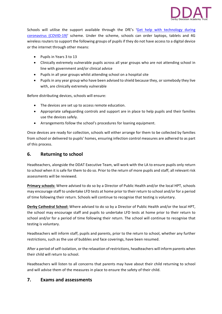

Schools will utilise the support available through the DfE's 'Get help with technology during coronavirus (COVID-19)' scheme. Under the scheme, schools can order laptops, tablets and 4G wireless routers to support the following groups of pupils if they do not have access to a digital device or the internet through other means:

- Pupils in Years 3 to 13
- Clinically extremely vulnerable pupils across all year groups who are not attending school in line with government and/or clinical advice
- Pupils in all year groups whilst attending school on a hospital site
- Pupils in any year group who have been advised to shield because they, or somebody they live with, are clinically extremely vulnerable

Before distributing devices, schools will ensure:

- The devices are set up to access remote education.
- Appropriate safeguarding controls and support are in place to help pupils and their families use the devices safely.
- Arrangements follow the school's procedures for loaning equipment.

Once devices are ready for collection, schools will either arrange for them to be collected by families from school or delivered to pupils' homes, ensuring infection control measures are adhered to as part of this process.

### **6.** Returning to school

Headteachers, alongside the DDAT Executive Team, will work with the LA to ensure pupils only return to school when it is safe for them to do so. Prior to the return of more pupils and staff, all relevant risk assessments will be reviewed.

**Primary schools:** Where advised to do so by a Director of Public Health and/or the local HPT, schools may encourage staff to undertake LFD tests at home prior to their return to school and/or for a period of time following their return. Schools will continue to recognise that testing is voluntary.

**Derby Cathedral School:** Where advised to do so by a Director of Public Health and/or the local HPT, the school may encourage staff and pupils to undertake LFD tests at home prior to their return to school and/or for a period of time following their return. The school will continue to recognise that testing is voluntary.

Headteachers will inform staff, pupils and parents, prior to the return to school, whether any further restrictions, such as the use of bubbles and face coverings, have been resumed.

After a period of self-isolation, or the relaxation of restrictions, headteachers will inform parents when their child will return to school.

Headteachers will listen to all concerns that parents may have about their child returning to school and will advise them of the measures in place to ensure the safety of their child.

### **7. Exams and assessments**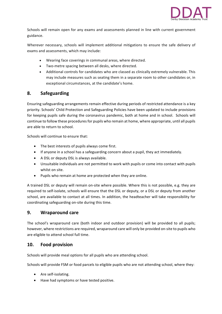

Schools will remain open for any exams and assessments planned in line with current government guidance.

Wherever necessary, schools will implement additional mitigations to ensure the safe delivery of exams and assessments, which may include:

- Wearing face coverings in communal areas, where directed.
- Two-metre spacing between all desks, where directed.
- Additional controls for candidates who are classed as clinically extremely vulnerable. This may include measures such as seating them in a separate room to other candidates or, in exceptional circumstances, at the candidate's home.

### **8. Safeguarding**

Ensuring safeguarding arrangements remain effective during periods of restricted attendance is a key priority. Schools' Child Protection and Safeguarding Policies have been updated to include provisions for keeping pupils safe during the coronavirus pandemic, both at home and in school. Schools will continue to follow these procedures for pupils who remain at home, where appropriate, until all pupils are able to return to school.

Schools will continue to ensure that:

- $\bullet$  The best interests of pupils always come first.
- If anyone in a school has a safeguarding concern about a pupil, they act immediately.
- A DSL or deputy DSL is always available.
- Unsuitable individuals are not permitted to work with pupils or come into contact with pupils whilst on site.
- Pupils who remain at home are protected when they are online.

A trained DSL or deputy will remain on-site where possible. Where this is not possible, e.g. they are required to self-isolate, schools will ensure that the DSL or deputy, or a DSL or deputy from another school, are available to contact at all times. In addition, the headteacher will take responsibility for coordinating safeguarding on-site during this time.

### **9. Wraparound care**

The school's wraparound care (both indoor and outdoor provision) will be provided to all pupils; however, where restrictions are required, wraparound care will only be provided on-site to pupils who are eligible to attend school full time.

### 10. **Food provision**

Schools will provide meal options for all pupils who are attending school.

Schools will provide FSM or food parcels to eligible pupils who are not attending school, where they:

- Are self-isolating.
- Have had symptoms or have tested positive.